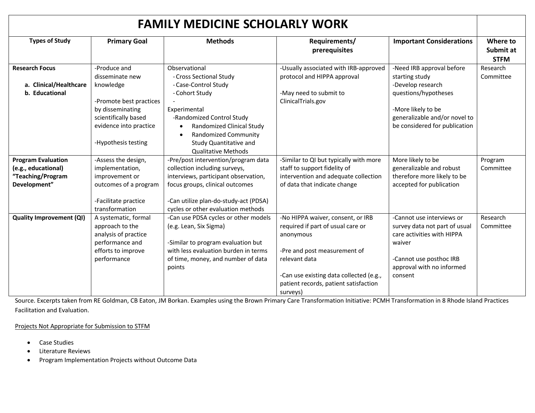| <b>FAMILY MEDICINE SCHOLARLY WORK</b>                                                 |                                                                                                                                                                      |                                                                                                                                                                                                                                                                  |                                                                                                                                                                                                                                      |                                                                                                                                                                                  |                                      |
|---------------------------------------------------------------------------------------|----------------------------------------------------------------------------------------------------------------------------------------------------------------------|------------------------------------------------------------------------------------------------------------------------------------------------------------------------------------------------------------------------------------------------------------------|--------------------------------------------------------------------------------------------------------------------------------------------------------------------------------------------------------------------------------------|----------------------------------------------------------------------------------------------------------------------------------------------------------------------------------|--------------------------------------|
| <b>Types of Study</b>                                                                 | <b>Primary Goal</b>                                                                                                                                                  | <b>Methods</b>                                                                                                                                                                                                                                                   | Requirements/<br>prerequisites                                                                                                                                                                                                       | <b>Important Considerations</b>                                                                                                                                                  | Where to<br>Submit at<br><b>STFM</b> |
| <b>Research Focus</b><br>a. Clinical/Healthcare<br>b. Educational                     | -Produce and<br>disseminate new<br>knowledge<br>-Promote best practices<br>by disseminating<br>scientifically based<br>evidence into practice<br>-Hypothesis testing | Observational<br>- Cross Sectional Study<br>- Case-Control Study<br>- Cohort Study<br>Experimental<br>-Randomized Control Study<br>Randomized Clinical Study<br>$\bullet$<br><b>Randomized Community</b><br>Study Quantitative and<br><b>Qualitative Methods</b> | -Usually associated with IRB-approved<br>protocol and HIPPA approval<br>-May need to submit to<br>ClinicalTrials.gov                                                                                                                 | -Need IRB approval before<br>starting study<br>-Develop research<br>questions/hypotheses<br>-More likely to be<br>generalizable and/or novel to<br>be considered for publication | Research<br>Committee                |
| <b>Program Evaluation</b><br>(e.g., educational)<br>"Teaching/Program<br>Development" | -Assess the design,<br>implementation,<br>improvement or<br>outcomes of a program<br>-Facilitate practice<br>transformation                                          | -Pre/post intervention/program data<br>collection including surveys,<br>interviews, participant observation,<br>focus groups, clinical outcomes<br>-Can utilize plan-do-study-act (PDSA)<br>cycles or other evaluation methods                                   | -Similar to QI but typically with more<br>staff to support fidelity of<br>intervention and adequate collection<br>of data that indicate change                                                                                       | More likely to be<br>generalizable and robust<br>therefore more likely to be<br>accepted for publication                                                                         | Program<br>Committee                 |
| <b>Quality Improvement (QI)</b>                                                       | A systematic, formal<br>approach to the<br>analysis of practice<br>performance and<br>efforts to improve<br>performance                                              | -Can use PDSA cycles or other models<br>(e.g. Lean, Six Sigma)<br>-Similar to program evaluation but<br>with less evaluation burden in terms<br>of time, money, and number of data<br>points                                                                     | -No HIPPA waiver, consent, or IRB<br>required if part of usual care or<br>anonymous<br>-Pre and post measurement of<br>relevant data<br>-Can use existing data collected (e.g.,<br>patient records, patient satisfaction<br>surveys) | -Cannot use interviews or<br>survey data not part of usual<br>care activities with HIPPA<br>waiver<br>-Cannot use posthoc IRB<br>approval with no informed<br>consent            | Research<br>Committee                |

Source. Excerpts taken from RE Goldman, CB Eaton, JM Borkan. Examples using the Brown Primary Care Transformation Initiative: PCMH Transformation in 8 Rhode Island Practices Facilitation and Evaluation.

Projects Not Appropriate for Submission to STFM

- Case Studies
- Literature Reviews
- Program Implementation Projects without Outcome Data